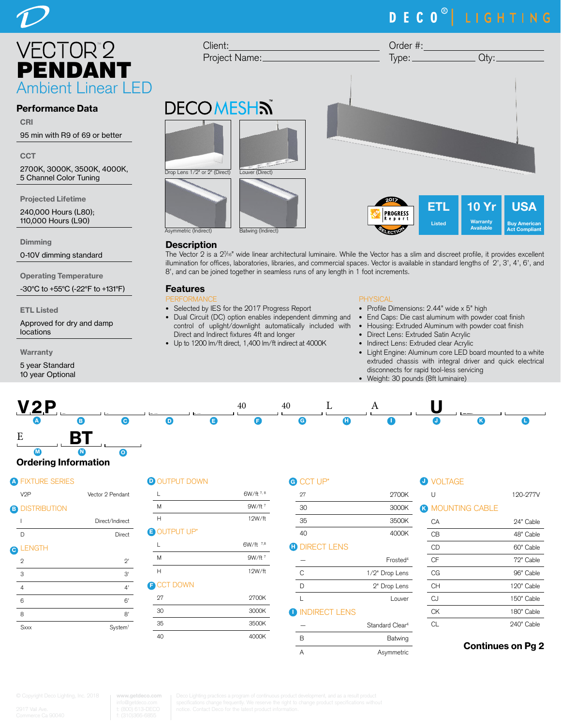# DECO<sup>®</sup> LIGHTING

 $\bf{0}$ **Warranty** Available

USA Buy American Act Compliant



### Performance Data

CRI

95 min with R9 of 69 or better

**CCT** 

2700K, 3000K, 3500K, 4000K, 5 Channel Color Tuning

Projected Lifetime

240,000 Hours (L80); 110,000 Hours (L90)

**Dimming** 

0-10V dimming standard

Operating Temperature

-30°C to +55°C (-22°F to +131°F)

ETL Listed

Approved for dry and damp locations

Warranty

5 year Standard 10 year Optional



#### **Description**

Client:

The Vector 2 is a 27 /16" wide linear architectural luminaire. While the Vector has a slim and discreet profile, it provides excellent illumination for offices, laboratories, libraries, and commercial spaces. Vector is available in standard lengths of 2', 3', 4', 6', and 8', and can be joined together in seamless runs of any length in 1 foot increments.

A Asymmetric

## Features

- PERFORMANCE • Selected by IES for the 2017 Progress Report
- Dual Circuit (DC) option enables independent dimming and control of uplight/downlight automatiically included with Direct and Indirect fixtures 4ft and longer
- Up to 1200 lm/ft direct, 1,400 lm/ft indirect at 4000K

#### PHYSICAL

- Profile Dimensions: 2.44" wide x 5" high
- End Caps: Die cast aluminum with powder coat finish
- Housing: Extruded Aluminum with powder coat finish
- Direct Lens: Extruded Satin Acrylic

Order #:

- Indirect Lens: Extruded clear Acrylic
- Light Engine: Aluminum core LED board mounted to a white extruded chassis with integral driver and quick electrical disconnects for rapid tool-less servicing
- Weight: 30 pounds (8ft luminaire)



#### Ordering Information M N <u>List</u>  $\overline{\phantom{a}}$

## **A FIXTURE SERIES**

| - -                       |                     |
|---------------------------|---------------------|
| V <sub>2</sub> P          | Vector 2 Pendant    |
| <b>DISTRIBUTION</b><br>ß) |                     |
| ı                         | Direct/Indirect     |
| D                         | Direct              |
| <b>LENGTH</b>             |                     |
| $\overline{2}$            | $2^{\prime}$        |
| 3                         | 3'                  |
| $\overline{4}$            | 4'                  |
| 6                         | 6'                  |
| 8                         | 8'                  |
| Sxxx                      | System <sup>1</sup> |
|                           |                     |

## D OUTPUT DOWN GO

| L                  | 6W/ft 7, 8 |
|--------------------|------------|
| M                  | $9W/ft^7$  |
| н                  | 12W/ft     |
| <b>BOUTPUT UP*</b> |            |
| L                  | 6W/ft 7,8  |
| M                  | $9W/ft^7$  |
| Н                  | 12W/ft     |
| <b>P CCT DOWN</b>  |            |
| 27                 | 2700K      |
| 30                 | 3000K      |
| 35                 | 3500K      |
| 40                 | 4000K      |
|                    |            |

| G | CCT UP*              |                             | <b>O</b> VOLTAGE        |                          |
|---|----------------------|-----------------------------|-------------------------|--------------------------|
|   | 27                   | 2700K                       | U                       | 120-277V                 |
|   | 30                   | 3000K                       | <b>3 MOUNTING CABLE</b> |                          |
|   | 35                   | 3500K                       | CA                      | 24" Cable                |
|   | 40                   | 4000K                       | <b>CB</b>               | 48" Cable                |
| Œ | <b>DIRECT LENS</b>   |                             | <b>CD</b>               | 60" Cable                |
|   |                      | Frosted <sup>4</sup>        | <b>CF</b>               | 72" Cable                |
|   | C                    | 1/2" Drop Lens              | CG                      | 96" Cable                |
|   | D                    | 2" Drop Lens                | <b>CH</b>               | 120" Cable               |
|   | $\mathbf{I}$         | Louver                      | CJ                      | 150" Cable               |
|   | <b>INDIRECT LENS</b> |                             | <b>CK</b>               | 180" Cable               |
|   |                      | Standard Clear <sup>4</sup> | <b>CL</b>               | 240" Cable               |
|   | B                    | Batwing                     |                         |                          |
|   | $\Lambda$            | A <sub>symm</sub>           |                         | <b>Continues on Pg 2</b> |

**www.getdeco.com**

O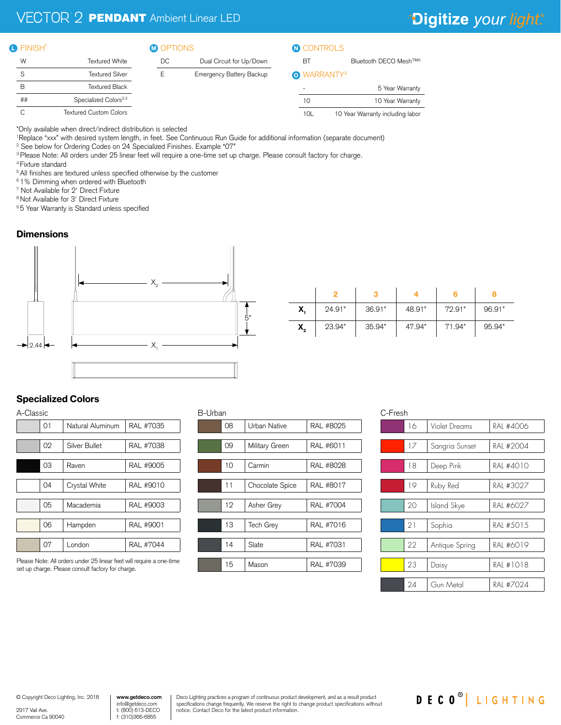## $\mathbb{P}2$  **PENDANT** Ambient Linear LED

## \*Digitize your light.®

#### **O** FINISH<sup>5</sup>

#### **D** FINISH<sup>8</sup> M OPTIONS M OPTIONS

| W  | <b>Textured White</b>             |
|----|-----------------------------------|
| S  | Textured Silver                   |
| R  | <b>Textured Black</b>             |
| ## | Specialized Colors <sup>2,3</sup> |
| ◠  | <b>Textured Custom Colors</b>     |

| DC. | Dual Circuit for Up/Down        |
|-----|---------------------------------|
| F   | <b>Emergency Battery Backup</b> |
|     |                                 |

## **O** CONTROLS

BT Bluetooth DECO Mesh™<sup>6</sup>

#### **O** WARRANTY<sup>9</sup>

|                 | 5 Year Warranty                  |
|-----------------|----------------------------------|
| 10              | 10 Year Warranty                 |
| 10 <sub>l</sub> | 10 Year Warranty including labor |

\*Only available when direct/indirect distribution is selected

1 Replace "xxx" with desired system length, in feet. See Continuous Run Guide for additional information (separate document)

 $B_1$ 

2 See below for Ordering Codes on 24 Specialized Finishes. Example "07"

3 Please Note: All orders under 25 linear feet will require a one-time set up charge. Please consult factory for charge.

4 Fixture standard

<sup>5</sup> All finishes are textured unless specified otherwise by the customer

6 1% Dimming when ordered with Bluetooth

7 Not Available for 2' Direct Fixture

8 Not Available for 3' Direct Fixture

9 5 Year Warranty is Standard unless specified

### **Dimensions**



| X,               | 24.91" | 36.91" | 48.91" | 72.91" | 96.91" |
|------------------|--------|--------|--------|--------|--------|
| $\mathsf{X}_{2}$ | 23.94" | 35.94" | 47.94" | 71.94" | 95.94" |

## Specialized Colors

| A-Classic        |           |  |  |  |
|------------------|-----------|--|--|--|
| Natural Aluminum | RAL #7035 |  |  |  |
|                  |           |  |  |  |
| Silver Bullet    | RAL #7038 |  |  |  |
|                  |           |  |  |  |
| Raven            | RAL #9005 |  |  |  |
|                  |           |  |  |  |
| Crystal White    | RAL #9010 |  |  |  |
|                  |           |  |  |  |
| Macademia        | RAL #9003 |  |  |  |
|                  |           |  |  |  |
| Hampden          | RAL #9001 |  |  |  |
|                  |           |  |  |  |
| London           | RAL #7044 |  |  |  |
|                  |           |  |  |  |

Please Note: All orders under 25 linear feet will require a one-time set up charge. Please consult factory for charge.

| B-Urban |    |                  |           |  |  |
|---------|----|------------------|-----------|--|--|
|         | 08 | Urban Native     | RAL #8025 |  |  |
|         |    |                  |           |  |  |
|         | 09 | Military Green   | RAL #6011 |  |  |
|         |    |                  |           |  |  |
|         | 10 | Carmin           | RAL #8028 |  |  |
|         |    |                  |           |  |  |
|         | 11 | Chocolate Spice  | RAL #8017 |  |  |
|         |    |                  |           |  |  |
|         | 12 | Asher Grey       | RAL #7004 |  |  |
|         |    |                  |           |  |  |
|         | 13 | <b>Tech Grey</b> | RAL #7016 |  |  |
|         |    |                  |           |  |  |
|         | 14 | Slate            | RAL #7031 |  |  |
|         |    |                  |           |  |  |
|         | 15 | Mason            | RAL #7039 |  |  |
|         |    |                  |           |  |  |

| C-Fresh |                |           |  |  |
|---------|----------------|-----------|--|--|
| 16      | Violet Dreams  | RAL #4006 |  |  |
| 17      | Sangria Sunset | RAL #2004 |  |  |
| 18      | Deep Pink      | RAL #4010 |  |  |
| 19      | Ruby Red       | RAI #3027 |  |  |
| 20      | Island Skye    | RAI #6027 |  |  |
| 21      | Sophia         | RAI #5015 |  |  |
| 22      | Antique Spring | RAL #6019 |  |  |
| 23      | Daisy          | RAI #1018 |  |  |
| 24      | Gun Metal      | RAL #7024 |  |  |

© Copyright Deco Lighting, Inc. 2018

2917 Vail Ave. Commerce Ca 90040 **www.getdeco.com** info@getdeco.com t: (800) 613-DECO f: (310)366-6855

Deco Lighting practices a program of continuous product development, and as a result product specifications change frequently. We reserve the right to change product specifications without notice. Contact Deco for the latest product information.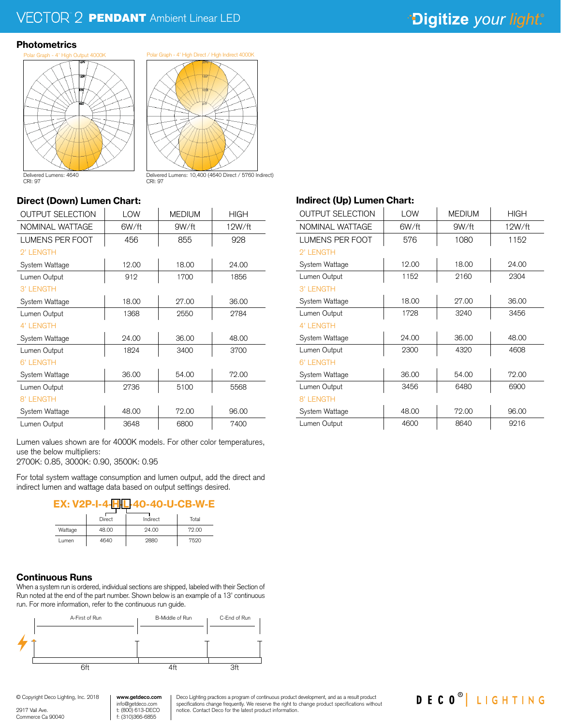## $\mathbb{P}2$  **PENDANT** Ambient Linear LED

## \*Digitize your light.®

#### **Photometrics**



Delivered Lumens: 10,400 (4640 Direct / 5760 Indirect)

CRI: 97

### Direct (Down) Lumen Chart:

| <b>OUTPUT SELECTION</b> | LOW   | <b>MEDIUM</b> | <b>HIGH</b> |  |
|-------------------------|-------|---------------|-------------|--|
| NOMINAL WATTAGE         | 6W/ft | 9W/ft         | 12W/ft      |  |
| LUMENS PER FOOT         | 456   | 855           | 928         |  |
| 2' LENGTH               |       |               |             |  |
| System Wattage          | 12.00 | 18.00         | 24.00       |  |
| Lumen Output            | 912   | 1700          | 1856        |  |
| 3' LENGTH               |       |               |             |  |
| System Wattage          | 18.00 | 27.00         | 36.00       |  |
| Lumen Output            | 1368  | 2550          | 2784        |  |
| 4' LENGTH               |       |               |             |  |
| System Wattage          | 24.00 | 36.00         | 48.00       |  |
| Lumen Output            | 1824  | 3400          | 3700        |  |
| 6' LENGTH               |       |               |             |  |
| System Wattage          | 36.00 | 54.00         | 72.00       |  |
| Lumen Output            | 2736  | 5100          | 5568        |  |
| 8' LENGTH               |       |               |             |  |
| System Wattage          | 48.00 | 72.00         | 96.00       |  |
| Lumen Output            | 3648  | 6800          | 7400        |  |

CRI: 97

Lumen values shown are for 4000K models. For other color temperatures, use the below multipliers:

2700K: 0.85, 3000K: 0.90, 3500K: 0.95

For total system wattage consumption and lumen output, add the direct and indirect lumen and wattage data based on output settings desired.



|         | Direct | Indirect | Total |
|---------|--------|----------|-------|
| Wattage | 48.00  | 24.00    | 72.00 |
| Lumen   | 4640   | 2880     | 7520  |

#### Continuous Runs

When a system run is ordered, individual sections are shipped, labeled with their Section of Run noted at the end of the part number. Shown below is an example of a 13' continuous run. For more information, refer to the continuous run guide.



**www.getdeco.com**

## Indirect (Up) Lumen Chart:

| <b>OUTPUT SELECTION</b> | LOW   | <b>MEDIUM</b> | <b>HIGH</b> |
|-------------------------|-------|---------------|-------------|
| NOMINAL WATTAGE         | 6W/ft | 9W/ft         | 12W/ft      |
| <b>LUMENS PER FOOT</b>  | 576   | 1080          | 1152        |
| 2' LENGTH               |       |               |             |
| System Wattage          | 12.00 | 18.00         | 24.00       |
| Lumen Output            | 1152  | 2160          | 2304        |
| 3' LENGTH               |       |               |             |
| System Wattage          | 18.00 | 27.00         | 36.00       |
| Lumen Output            | 1728  | 3240          | 3456        |
| 4' LENGTH               |       |               |             |
| System Wattage          | 24.00 | 36.00         | 48.00       |
| Lumen Output            | 2300  | 4320          | 4608        |
| 6' LENGTH               |       |               |             |
| System Wattage          | 36.00 | 54.00         | 72.00       |
| Lumen Output            | 3456  | 6480          | 6900        |
| 8' LENGTH               |       |               |             |
| System Wattage          | 48.00 | 72.00         | 96.00       |
| Lumen Output            | 4600  | 8640          | 9216        |



2917 Vail Ave. Commerce Ca 90040 info@getdeco.com t: (800) 613-DECO f: (310)366-6855

Deco Lighting practices a program of continuous product development, and as a result product specifications change frequently. We reserve the right to change product specifications without notice. Contact Deco for the latest product information.